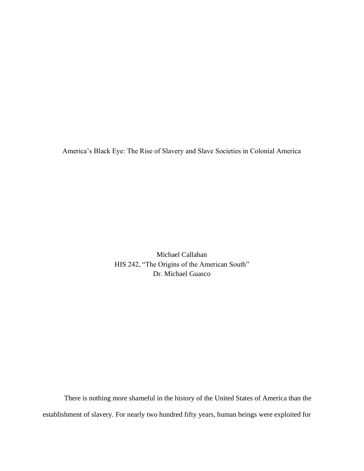America's Black Eye: The Rise of Slavery and Slave Societies in Colonial America

Michael Callahan HIS 242, "The Origins of the American South" Dr. Michael Guasco

 There is nothing more shameful in the history of the United States of America than the establishment of slavery. For nearly two hundred fifty years, human beings were exploited for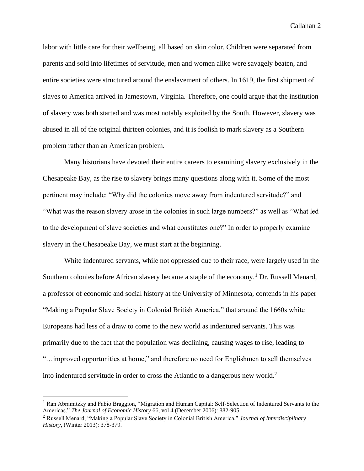labor with little care for their wellbeing, all based on skin color. Children were separated from parents and sold into lifetimes of servitude, men and women alike were savagely beaten, and entire societies were structured around the enslavement of others. In 1619, the first shipment of slaves to America arrived in Jamestown, Virginia. Therefore, one could argue that the institution of slavery was both started and was most notably exploited by the South. However, slavery was abused in all of the original thirteen colonies, and it is foolish to mark slavery as a Southern problem rather than an American problem.

Many historians have devoted their entire careers to examining slavery exclusively in the Chesapeake Bay, as the rise to slavery brings many questions along with it. Some of the most pertinent may include: "Why did the colonies move away from indentured servitude?" and "What was the reason slavery arose in the colonies in such large numbers?" as well as "What led to the development of slave societies and what constitutes one?" In order to properly examine slavery in the Chesapeake Bay, we must start at the beginning.

White indentured servants, while not oppressed due to their race, were largely used in the Southern colonies before African slavery became a staple of the economy.<sup>1</sup> Dr. Russell Menard, a professor of economic and social history at the University of Minnesota, contends in his paper "Making a Popular Slave Society in Colonial British America," that around the 1660s white Europeans had less of a draw to come to the new world as indentured servants. This was primarily due to the fact that the population was declining, causing wages to rise, leading to "…improved opportunities at home," and therefore no need for Englishmen to sell themselves into indentured servitude in order to cross the Atlantic to a dangerous new world.<sup>2</sup>

<sup>1</sup> Ran Abramitzky and Fabio Braggion, "Migration and Human Capital: Self-Selection of Indentured Servants to the Americas." *The Journal of Economic History* 66, vol 4 (December 2006): 882-905.

<sup>2</sup> Russell Menard, "Making a Popular Slave Society in Colonial British America," *Journal of Interdisciplinary History*, (Winter 2013): 378-379.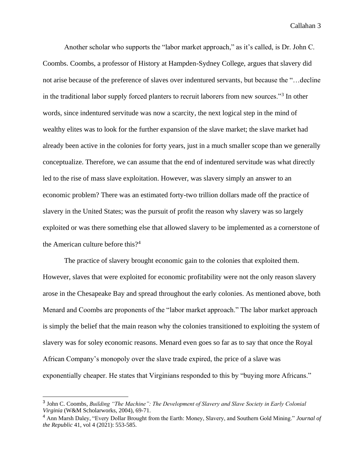Another scholar who supports the "labor market approach," as it's called, is Dr. John C. Coombs. Coombs, a professor of History at Hampden-Sydney College, argues that slavery did not arise because of the preference of slaves over indentured servants, but because the "…decline in the traditional labor supply forced planters to recruit laborers from new sources."<sup>3</sup> In other words, since indentured servitude was now a scarcity, the next logical step in the mind of wealthy elites was to look for the further expansion of the slave market; the slave market had already been active in the colonies for forty years, just in a much smaller scope than we generally conceptualize. Therefore, we can assume that the end of indentured servitude was what directly led to the rise of mass slave exploitation. However, was slavery simply an answer to an economic problem? There was an estimated forty-two trillion dollars made off the practice of slavery in the United States; was the pursuit of profit the reason why slavery was so largely exploited or was there something else that allowed slavery to be implemented as a cornerstone of the American culture before this?<sup>4</sup>

The practice of slavery brought economic gain to the colonies that exploited them. However, slaves that were exploited for economic profitability were not the only reason slavery arose in the Chesapeake Bay and spread throughout the early colonies. As mentioned above, both Menard and Coombs are proponents of the "labor market approach." The labor market approach is simply the belief that the main reason why the colonies transitioned to exploiting the system of slavery was for soley economic reasons. Menard even goes so far as to say that once the Royal African Company's monopoly over the slave trade expired, the price of a slave was exponentially cheaper. He states that Virginians responded to this by "buying more Africans."

<sup>3</sup> John C. Coombs, *Building "The Machine": The Development of Slavery and Slave Society in Early Colonial Virginia* (W&M Scholarworks, 2004), 69-71.

<sup>4</sup> Ann Marsh Daley, "Every Dollar Brought from the Earth: Money, Slavery, and Southern Gold Mining." *Journal of the Republic* 41, vol 4 (2021): 553-585.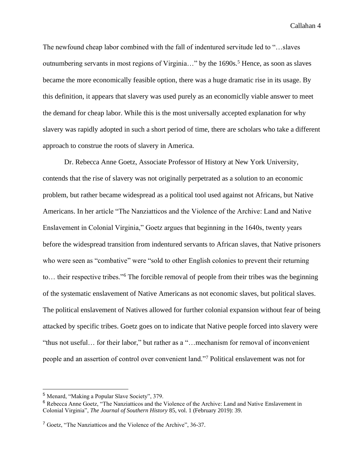The newfound cheap labor combined with the fall of indentured servitude led to "…slaves outnumbering servants in most regions of Virginia..." by the 1690s.<sup>5</sup> Hence, as soon as slaves became the more economically feasible option, there was a huge dramatic rise in its usage. By this definition, it appears that slavery was used purely as an economiclly viable answer to meet the demand for cheap labor. While this is the most universally accepted explanation for why slavery was rapidly adopted in such a short period of time, there are scholars who take a different approach to construe the roots of slavery in America.

Dr. Rebecca Anne Goetz, Associate Professor of History at New York University, contends that the rise of slavery was not originally perpetrated as a solution to an economic problem, but rather became widespread as a political tool used against not Africans, but Native Americans. In her article "The Nanziatticos and the Violence of the Archive: Land and Native Enslavement in Colonial Virginia," Goetz argues that beginning in the 1640s, twenty years before the widespread transition from indentured servants to African slaves, that Native prisoners who were seen as "combative" were "sold to other English colonies to prevent their returning to… their respective tribes."<sup>6</sup> The forcible removal of people from their tribes was the beginning of the systematic enslavement of Native Americans as not economic slaves, but political slaves. The political enslavement of Natives allowed for further colonial expansion without fear of being attacked by specific tribes. Goetz goes on to indicate that Native people forced into slavery were "thus not useful… for their labor," but rather as a "…mechanism for removal of inconvenient people and an assertion of control over convenient land."<sup>7</sup> Political enslavement was not for

<sup>5</sup> Menard, "Making a Popular Slave Society", 379.

<sup>6</sup> Rebecca Anne Goetz, "The Nanziatticos and the Violence of the Archive: Land and Native Enslavement in Colonial Virginia", *The Journal of Southern History* 85, vol. 1 (February 2019): 39.

<sup>7</sup> Goetz, "The Nanziatticos and the Violence of the Archive", 36-37.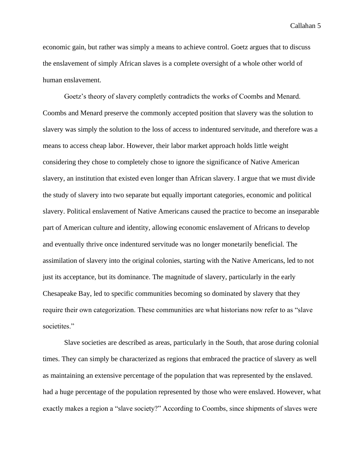economic gain, but rather was simply a means to achieve control. Goetz argues that to discuss the enslavement of simply African slaves is a complete oversight of a whole other world of human enslavement.

Goetz's theory of slavery completly contradicts the works of Coombs and Menard. Coombs and Menard preserve the commonly accepted position that slavery was the solution to slavery was simply the solution to the loss of access to indentured servitude, and therefore was a means to access cheap labor. However, their labor market approach holds little weight considering they chose to completely chose to ignore the significance of Native American slavery, an institution that existed even longer than African slavery. I argue that we must divide the study of slavery into two separate but equally important categories, economic and political slavery. Political enslavement of Native Americans caused the practice to become an inseparable part of American culture and identity, allowing economic enslavement of Africans to develop and eventually thrive once indentured servitude was no longer monetarily beneficial. The assimilation of slavery into the original colonies, starting with the Native Americans, led to not just its acceptance, but its dominance. The magnitude of slavery, particularly in the early Chesapeake Bay, led to specific communities becoming so dominated by slavery that they require their own categorization. These communities are what historians now refer to as "slave societites."

Slave societies are described as areas, particularly in the South, that arose during colonial times. They can simply be characterized as regions that embraced the practice of slavery as well as maintaining an extensive percentage of the population that was represented by the enslaved. had a huge percentage of the population represented by those who were enslaved. However, what exactly makes a region a "slave society?" According to Coombs, since shipments of slaves were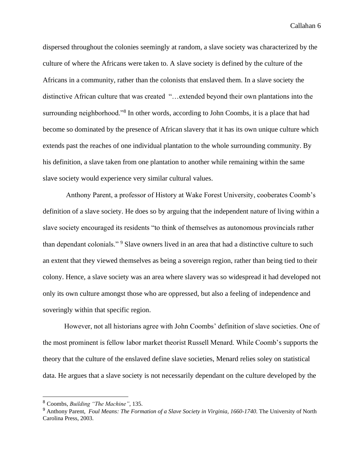dispersed throughout the colonies seemingly at random, a slave society was characterized by the culture of where the Africans were taken to. A slave society is defined by the culture of the Africans in a community, rather than the colonists that enslaved them. In a slave society the distinctive African culture that was created "…extended beyond their own plantations into the surrounding neighborhood."<sup>8</sup> In other words, according to John Coombs, it is a place that had become so dominated by the presence of African slavery that it has its own unique culture which extends past the reaches of one individual plantation to the whole surrounding community. By his definition, a slave taken from one plantation to another while remaining within the same slave society would experience very similar cultural values.

Anthony Parent, a professor of History at Wake Forest University, cooberates Coomb's definition of a slave society. He does so by arguing that the independent nature of living within a slave society encouraged its residents "to think of themselves as autonomous provincials rather than dependant colonials." <sup>9</sup> Slave owners lived in an area that had a distinctive culture to such an extent that they viewed themselves as being a sovereign region, rather than being tied to their colony. Hence, a slave society was an area where slavery was so widespread it had developed not only its own culture amongst those who are oppressed, but also a feeling of independence and soveringly within that specific region.

However, not all historians agree with John Coombs' definition of slave societies. One of the most prominent is fellow labor market theorist Russell Menard. While Coomb's supports the theory that the culture of the enslaved define slave societies, Menard relies soley on statistical data. He argues that a slave society is not necessarily dependant on the culture developed by the

<sup>8</sup> Coombs, *Building "The Machine"*, 135.

<sup>9</sup> Anthony Parent, *Foul Means: The Formation of a Slave Society in Virginia, 1660-1740*. The University of North Carolina Press, 2003.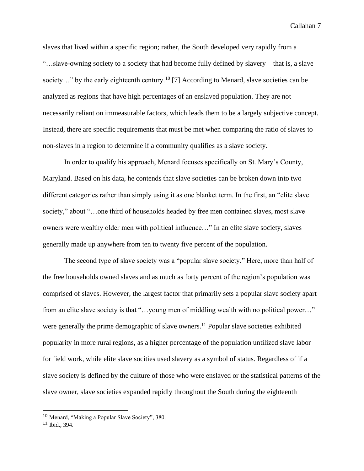slaves that lived within a specific region; rather, the South developed very rapidly from a "…slave-owning society to a society that had become fully defined by slavery – that is, a slave society..." by the early eighteenth century.<sup>10</sup> [7] According to Menard, slave societies can be analyzed as regions that have high percentages of an enslaved population. They are not necessarily reliant on immeasurable factors, which leads them to be a largely subjective concept. Instead, there are specific requirements that must be met when comparing the ratio of slaves to non-slaves in a region to determine if a community qualifies as a slave society.

In order to qualify his approach, Menard focuses specifically on St. Mary's County, Maryland. Based on his data, he contends that slave societies can be broken down into two different categories rather than simply using it as one blanket term. In the first, an "elite slave society," about "...one third of households headed by free men contained slaves, most slave owners were wealthy older men with political influence…" In an elite slave society, slaves generally made up anywhere from ten to twenty five percent of the population.

The second type of slave society was a "popular slave society." Here, more than half of the free households owned slaves and as much as forty percent of the region's population was comprised of slaves. However, the largest factor that primarily sets a popular slave society apart from an elite slave society is that "…young men of middling wealth with no political power…" were generally the prime demographic of slave owners.<sup>11</sup> Popular slave societies exhibited popularity in more rural regions, as a higher percentage of the population untilized slave labor for field work, while elite slave socities used slavery as a symbol of status. Regardless of if a slave society is defined by the culture of those who were enslaved or the statistical patterns of the slave owner, slave societies expanded rapidly throughout the South during the eighteenth

<sup>10</sup> Menard, "Making a Popular Slave Society", 380.

<sup>11</sup> Ibid., 394.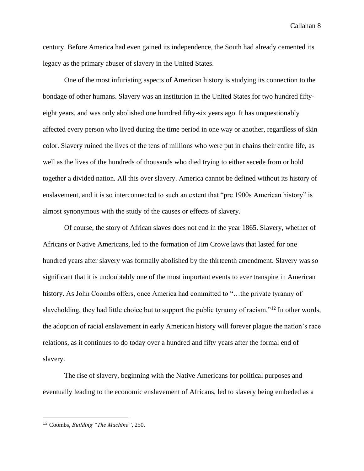century. Before America had even gained its independence, the South had already cemented its legacy as the primary abuser of slavery in the United States.

One of the most infuriating aspects of American history is studying its connection to the bondage of other humans. Slavery was an institution in the United States for two hundred fiftyeight years, and was only abolished one hundred fifty-six years ago. It has unquestionably affected every person who lived during the time period in one way or another, regardless of skin color. Slavery ruined the lives of the tens of millions who were put in chains their entire life, as well as the lives of the hundreds of thousands who died trying to either secede from or hold together a divided nation. All this over slavery. America cannot be defined without its history of enslavement, and it is so interconnected to such an extent that "pre 1900s American history" is almost synonymous with the study of the causes or effects of slavery.

Of course, the story of African slaves does not end in the year 1865. Slavery, whether of Africans or Native Americans, led to the formation of Jim Crowe laws that lasted for one hundred years after slavery was formally abolished by the thirteenth amendment. Slavery was so significant that it is undoubtably one of the most important events to ever transpire in American history. As John Coombs offers, once America had committed to "...the private tyranny of slaveholding, they had little choice but to support the public tyranny of racism."<sup>12</sup> In other words, the adoption of racial enslavement in early American history will forever plague the nation's race relations, as it continues to do today over a hundred and fifty years after the formal end of slavery.

The rise of slavery, beginning with the Native Americans for political purposes and eventually leading to the economic enslavement of Africans, led to slavery being embeded as a

<sup>12</sup> Coombs, *Building "The Machine"*, 250.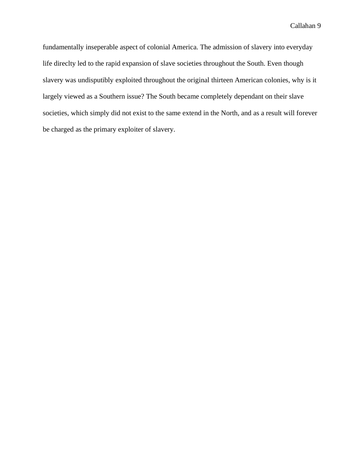fundamentally inseperable aspect of colonial America. The admission of slavery into everyday life direclty led to the rapid expansion of slave societies throughout the South. Even though slavery was undisputibly exploited throughout the original thirteen American colonies, why is it largely viewed as a Southern issue? The South became completely dependant on their slave societies, which simply did not exist to the same extend in the North, and as a result will forever be charged as the primary exploiter of slavery.